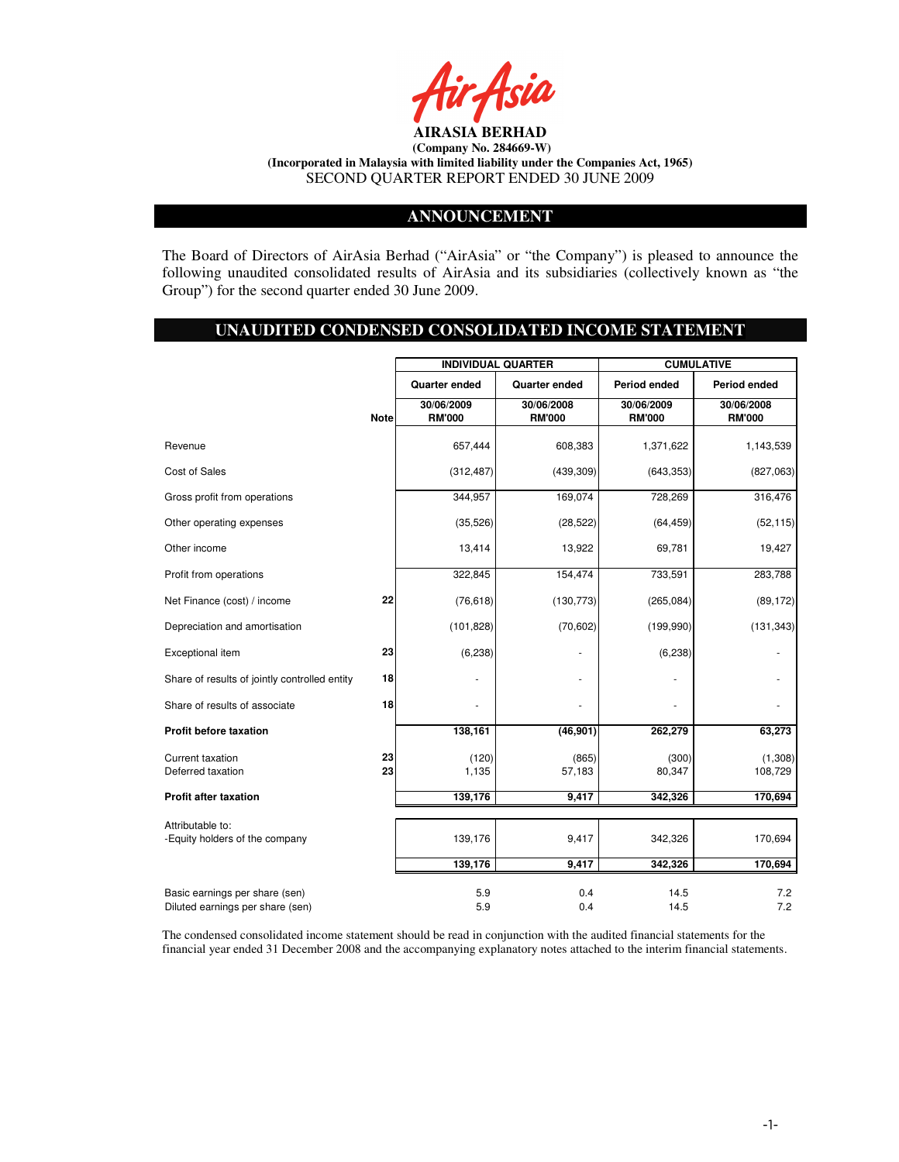

### **ANNOUNCEMENT**

The Board of Directors of AirAsia Berhad ("AirAsia" or "the Company") is pleased to announce the following unaudited consolidated results of AirAsia and its subsidiaries (collectively known as "the Group") for the second quarter ended 30 June 2009.

# **UNAUDITED CONDENSED CONSOLIDATED INCOME STATEMENT**

|                                                                    |             | <b>INDIVIDUAL QUARTER</b>   |                             |                             | <b>CUMULATIVE</b>           |
|--------------------------------------------------------------------|-------------|-----------------------------|-----------------------------|-----------------------------|-----------------------------|
|                                                                    |             | <b>Quarter ended</b>        | <b>Quarter ended</b>        | Period ended                | Period ended                |
|                                                                    | <b>Note</b> | 30/06/2009<br><b>RM'000</b> | 30/06/2008<br><b>RM'000</b> | 30/06/2009<br><b>RM'000</b> | 30/06/2008<br><b>RM'000</b> |
| Revenue                                                            |             | 657,444                     | 608,383                     | 1,371,622                   | 1,143,539                   |
| Cost of Sales                                                      |             | (312, 487)                  | (439, 309)                  | (643, 353)                  | (827,063)                   |
| Gross profit from operations                                       |             | 344,957                     | 169,074                     | 728,269                     | 316,476                     |
| Other operating expenses                                           |             | (35, 526)                   | (28, 522)                   | (64, 459)                   | (52, 115)                   |
| Other income                                                       |             | 13,414                      | 13,922                      | 69,781                      | 19,427                      |
| Profit from operations                                             |             | 322,845                     | 154,474                     | 733,591                     | 283,788                     |
| Net Finance (cost) / income                                        | 22          | (76, 618)                   | (130, 773)                  | (265, 084)                  | (89, 172)                   |
| Depreciation and amortisation                                      |             | (101, 828)                  | (70, 602)                   | (199, 990)                  | (131, 343)                  |
| Exceptional item                                                   | 23          | (6, 238)                    |                             | (6, 238)                    |                             |
| Share of results of jointly controlled entity                      | 18          |                             |                             |                             |                             |
| Share of results of associate                                      | 18          |                             |                             |                             |                             |
| Profit before taxation                                             |             | 138,161                     | (46, 901)                   | 262,279                     | 63,273                      |
| Current taxation<br>Deferred taxation                              | 23<br>23    | (120)<br>1,135              | (865)<br>57,183             | (300)<br>80,347             | (1,308)<br>108,729          |
| <b>Profit after taxation</b>                                       |             | 139,176                     | 9,417                       | 342,326                     | 170,694                     |
| Attributable to:<br>-Equity holders of the company                 |             | 139,176                     | 9,417                       | 342,326                     | 170,694                     |
|                                                                    |             | 139,176                     | 9,417                       | 342,326                     | 170,694                     |
| Basic earnings per share (sen)<br>Diluted earnings per share (sen) |             | 5.9<br>5.9                  | 0.4<br>0.4                  | 14.5<br>14.5                | 7.2<br>7.2                  |

The condensed consolidated income statement should be read in conjunction with the audited financial statements for the financial year ended 31 December 2008 and the accompanying explanatory notes attached to the interim financial statements.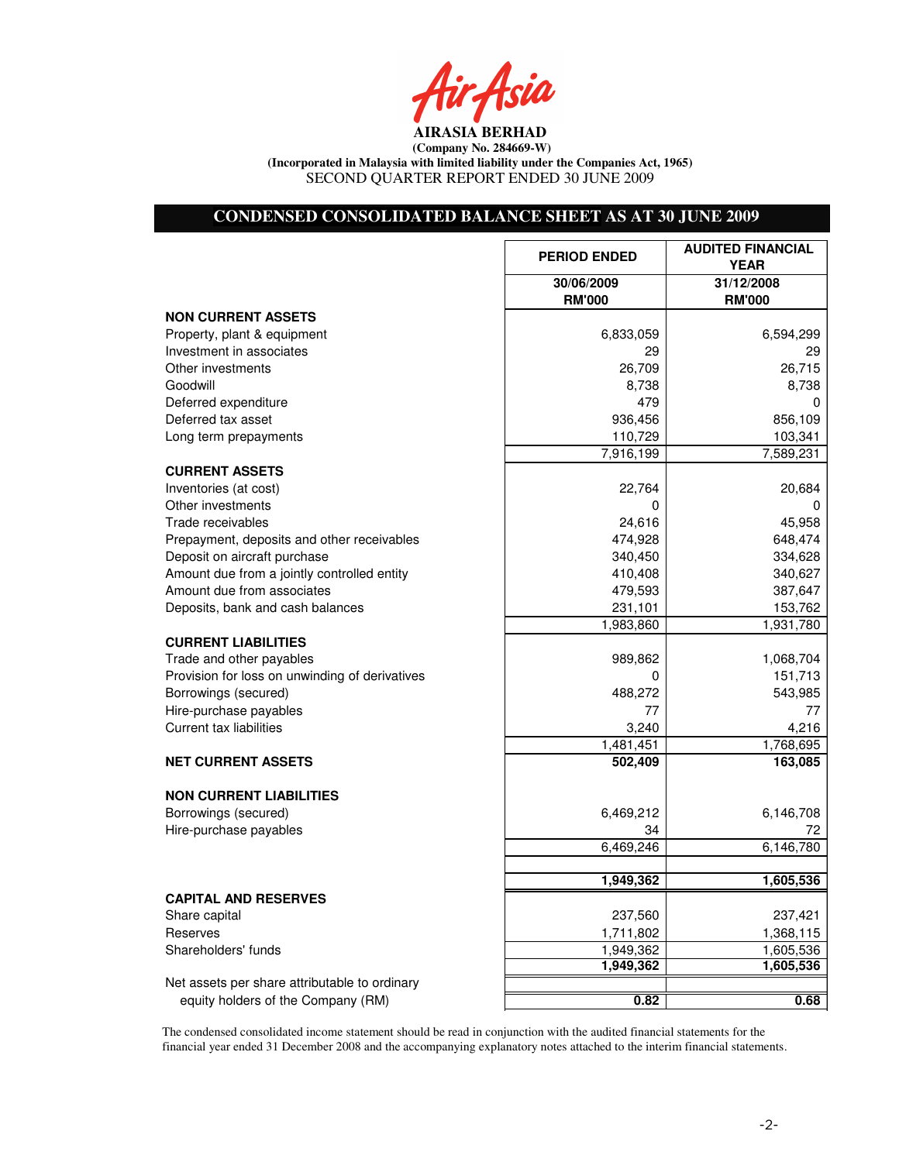Air Asia

# **CONDENSED CONSOLIDATED BALANCE SHEET AS AT 30 JUNE 2009**

|                                                | <b>PERIOD ENDED</b> | <b>AUDITED FINANCIAL</b><br><b>YEAR</b> |
|------------------------------------------------|---------------------|-----------------------------------------|
|                                                | 30/06/2009          | 31/12/2008                              |
|                                                | <b>RM'000</b>       | <b>RM'000</b>                           |
| <b>NON CURRENT ASSETS</b>                      |                     |                                         |
| Property, plant & equipment                    | 6,833,059           | 6,594,299                               |
| Investment in associates                       | 29                  | 29                                      |
| Other investments                              | 26,709              | 26,715                                  |
| Goodwill                                       | 8,738               | 8,738                                   |
| Deferred expenditure                           | 479                 | 0                                       |
| Deferred tax asset                             | 936,456             | 856,109                                 |
| Long term prepayments                          | 110,729             | 103,341                                 |
|                                                | 7,916,199           | 7,589,231                               |
| <b>CURRENT ASSETS</b>                          |                     |                                         |
| Inventories (at cost)                          | 22,764              | 20,684                                  |
| Other investments                              | $\Omega$            | $\Omega$                                |
| Trade receivables                              | 24,616              | 45,958                                  |
| Prepayment, deposits and other receivables     | 474,928             | 648,474                                 |
| Deposit on aircraft purchase                   | 340,450             | 334,628                                 |
| Amount due from a jointly controlled entity    | 410,408             | 340,627                                 |
| Amount due from associates                     | 479,593             | 387,647                                 |
| Deposits, bank and cash balances               | 231,101             | 153,762                                 |
|                                                | 1,983,860           | 1,931,780                               |
| <b>CURRENT LIABILITIES</b>                     |                     |                                         |
| Trade and other payables                       | 989,862             | 1,068,704                               |
| Provision for loss on unwinding of derivatives | 0                   | 151,713                                 |
| Borrowings (secured)                           | 488,272             | 543,985                                 |
| Hire-purchase payables                         | 77                  | 77                                      |
| <b>Current tax liabilities</b>                 | 3,240               | 4,216                                   |
|                                                | 1,481,451           | 1,768,695                               |
| <b>NET CURRENT ASSETS</b>                      | 502,409             | 163,085                                 |
|                                                |                     |                                         |
| <b>NON CURRENT LIABILITIES</b>                 |                     |                                         |
| Borrowings (secured)                           | 6,469,212           | 6,146,708                               |
| Hire-purchase payables                         | 34                  | 72                                      |
|                                                | 6,469,246           | 6,146,780                               |
|                                                |                     |                                         |
|                                                | 1,949,362           | 1,605,536                               |
| <b>CAPITAL AND RESERVES</b>                    |                     |                                         |
| Share capital                                  | 237,560             | 237,421                                 |
| Reserves                                       | 1,711,802           | 1,368,115                               |
| Shareholders' funds                            | 1,949,362           | 1,605,536                               |
|                                                | 1,949,362           | 1,605,536                               |
| Net assets per share attributable to ordinary  |                     |                                         |
| equity holders of the Company (RM)             | 0.82                | 0.68                                    |

The condensed consolidated income statement should be read in conjunction with the audited financial statements for the financial year ended 31 December 2008 and the accompanying explanatory notes attached to the interim financial statements.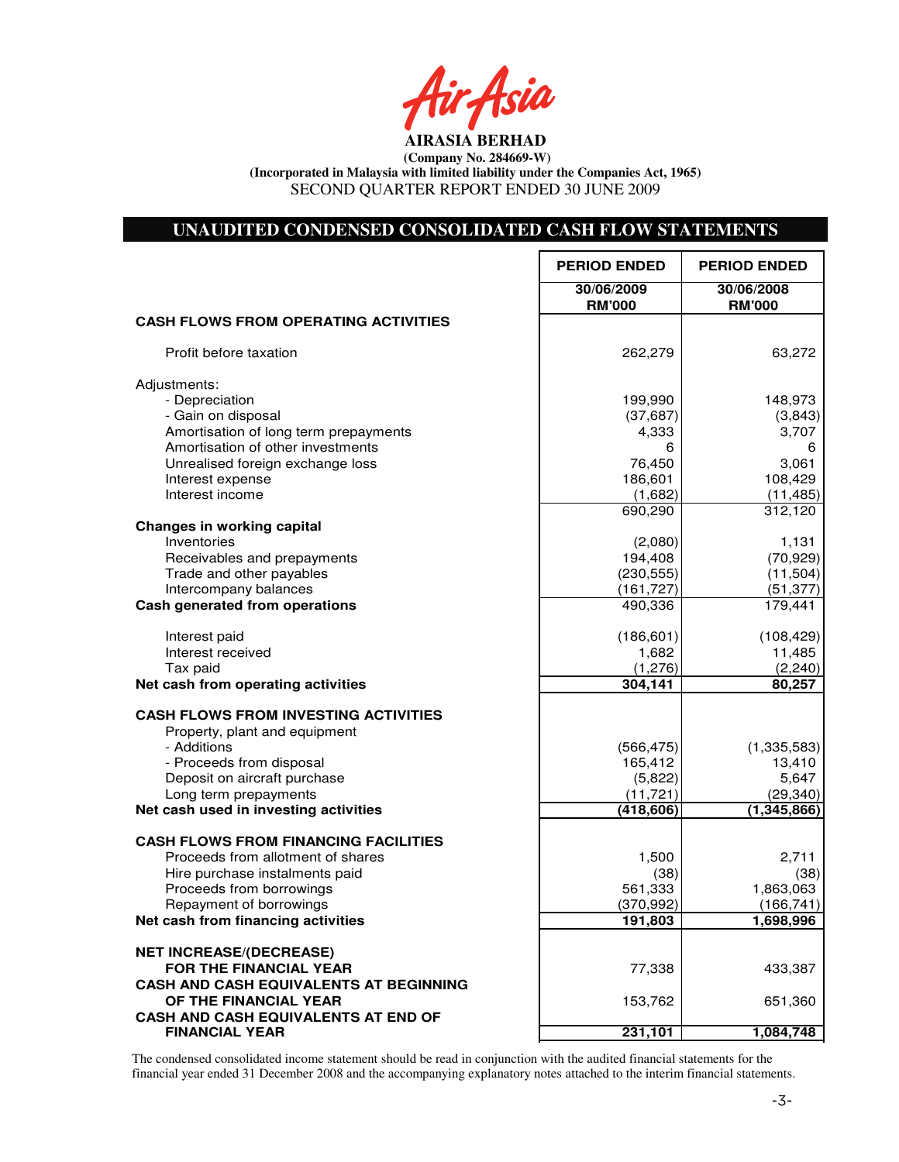Asia

### **UNAUDITED CONDENSED CONSOLIDATED CASH FLOW STATEMENTS**

|                                                      | <b>PERIOD ENDED</b>         | <b>PERIOD ENDED</b>         |
|------------------------------------------------------|-----------------------------|-----------------------------|
|                                                      | 30/06/2009<br><b>RM'000</b> | 30/06/2008<br><b>RM'000</b> |
| <b>CASH FLOWS FROM OPERATING ACTIVITIES</b>          |                             |                             |
| Profit before taxation                               | 262,279                     | 63,272                      |
| Adjustments:                                         |                             |                             |
| - Depreciation                                       | 199,990                     | 148,973                     |
| - Gain on disposal                                   | (37, 687)                   | (3,843)                     |
| Amortisation of long term prepayments                | 4,333                       | 3,707                       |
| Amortisation of other investments                    | 6                           | 6                           |
| Unrealised foreign exchange loss<br>Interest expense | 76,450<br>186,601           | 3,061<br>108,429            |
| Interest income                                      | (1,682)                     | (11, 485)                   |
|                                                      | 690,290                     | 312,120                     |
| <b>Changes in working capital</b>                    |                             |                             |
| Inventories                                          | (2,080)                     | 1,131                       |
| Receivables and prepayments                          | 194,408                     | (70, 929)                   |
| Trade and other payables                             | (230, 555)                  | (11, 504)                   |
| Intercompany balances                                | (161, 727)                  | (51, 377)                   |
| Cash generated from operations                       | 490,336                     | 179,441                     |
| Interest paid                                        | (186, 601)                  | (108, 429)                  |
| Interest received                                    | 1,682                       | 11,485                      |
| Tax paid                                             | (1, 276)                    | (2, 240)                    |
| Net cash from operating activities                   | 304,141                     | 80,257                      |
| <b>CASH FLOWS FROM INVESTING ACTIVITIES</b>          |                             |                             |
| Property, plant and equipment                        |                             |                             |
| - Additions                                          | (566, 475)                  | (1, 335, 583)               |
| - Proceeds from disposal                             | 165,412                     | 13,410                      |
| Deposit on aircraft purchase                         | (5,822)                     | 5,647                       |
| Long term prepayments                                | (11, 721)                   | (29, 340)                   |
| Net cash used in investing activities                | (418, 606)                  | (1,345,866)                 |
| <b>CASH FLOWS FROM FINANCING FACILITIES</b>          |                             |                             |
| Proceeds from allotment of shares                    | 1,500                       | 2,711                       |
| Hire purchase instalments paid                       | (38)                        | (38)                        |
| Proceeds from borrowings                             | 561,333                     | 1,863,063                   |
| Repayment of borrowings                              | (370, 992)                  | (166, 741)                  |
| Net cash from financing activities                   | 191,803                     | 1,698,996                   |
| <b>NET INCREASE/(DECREASE)</b>                       |                             |                             |
| <b>FOR THE FINANCIAL YEAR</b>                        | 77,338                      | 433,387                     |
| <b>CASH AND CASH EQUIVALENTS AT BEGINNING</b>        |                             |                             |
| OF THE FINANCIAL YEAR                                | 153,762                     | 651,360                     |
| CASH AND CASH EQUIVALENTS AT END OF                  |                             |                             |
| <b>FINANCIAL YEAR</b>                                | 231,101                     | 1,084,748                   |

The condensed consolidated income statement should be read in conjunction with the audited financial statements for the financial year ended 31 December 2008 and the accompanying explanatory notes attached to the interim financial statements.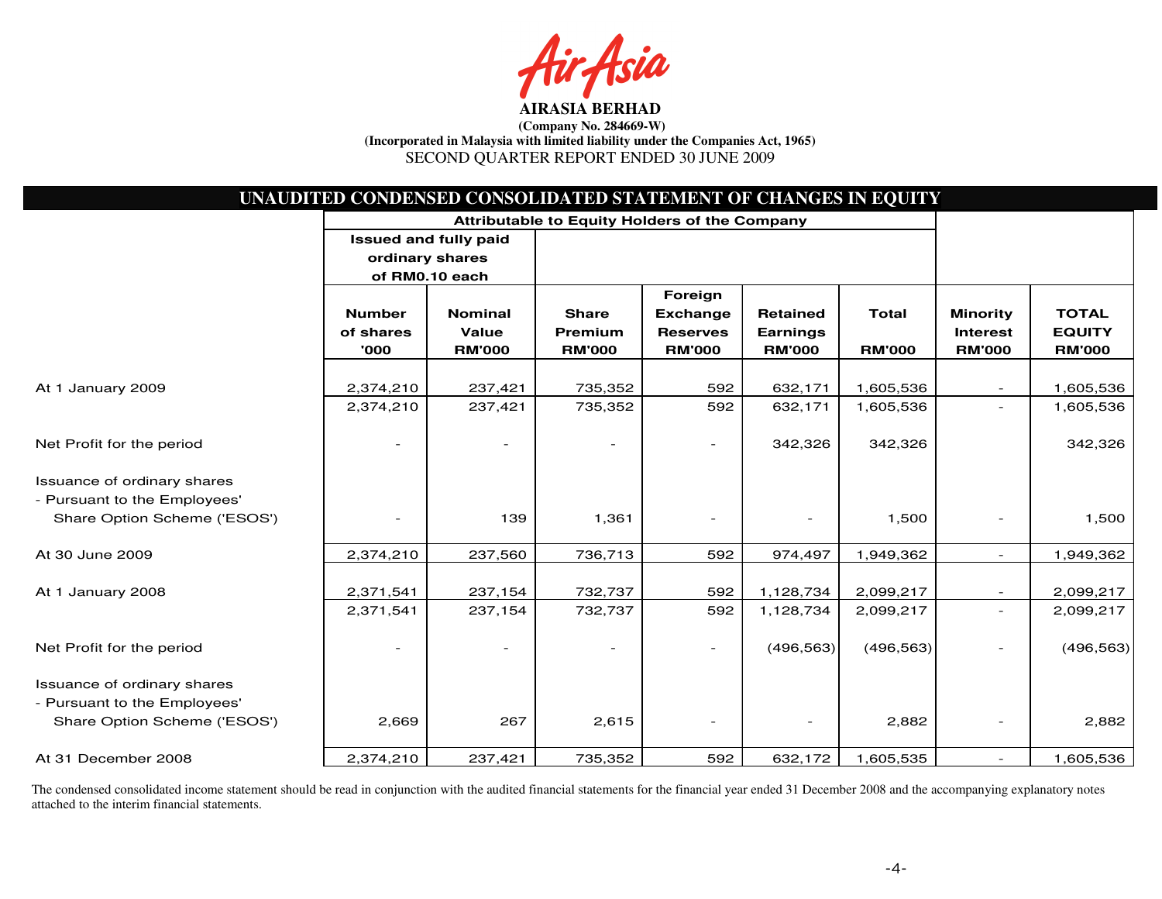sia

| UNAUDITED CONDENSED CONSOLIDATED STATEMENT OF CHANGES IN EQUITY |                              |                |                                                      |                 |                 |               |                          |               |
|-----------------------------------------------------------------|------------------------------|----------------|------------------------------------------------------|-----------------|-----------------|---------------|--------------------------|---------------|
|                                                                 |                              |                | <b>Attributable to Equity Holders of the Company</b> |                 |                 |               |                          |               |
|                                                                 | <b>Issued and fully paid</b> |                |                                                      |                 |                 |               |                          |               |
|                                                                 | ordinary shares              |                |                                                      |                 |                 |               |                          |               |
|                                                                 | of RM0.10 each               |                |                                                      |                 |                 |               |                          |               |
|                                                                 |                              |                |                                                      | Foreign         |                 |               |                          |               |
|                                                                 | <b>Number</b>                | <b>Nominal</b> | <b>Share</b>                                         | <b>Exchange</b> | <b>Retained</b> | <b>Total</b>  | <b>Minority</b>          | <b>TOTAL</b>  |
|                                                                 | of shares                    | Value          | Premium                                              | <b>Reserves</b> | <b>Earnings</b> |               | <b>Interest</b>          | <b>EQUITY</b> |
|                                                                 | '000                         | <b>RM'000</b>  | <b>RM'000</b>                                        | <b>RM'000</b>   | <b>RM'000</b>   | <b>RM'000</b> | <b>RM'000</b>            | <b>RM'000</b> |
|                                                                 |                              |                |                                                      |                 |                 |               |                          |               |
| At 1 January 2009                                               | 2,374,210                    | 237,421        | 735,352                                              | 592             | 632,171         | 1,605,536     |                          | 1,605,536     |
|                                                                 | 2,374,210                    | 237,421        | 735,352                                              | 592             | 632,171         | 1,605,536     |                          | 1,605,536     |
| Net Profit for the period                                       |                              |                |                                                      | ۰               | 342,326         | 342,326       |                          | 342,326       |
| Issuance of ordinary shares                                     |                              |                |                                                      |                 |                 |               |                          |               |
| - Pursuant to the Employees'                                    |                              |                |                                                      |                 |                 |               |                          |               |
| Share Option Scheme ('ESOS')                                    |                              | 139            | 1,361                                                |                 |                 | 1,500         | $\blacksquare$           | 1,500         |
|                                                                 |                              |                |                                                      |                 |                 |               |                          |               |
| At 30 June 2009                                                 | 2,374,210                    | 237,560        | 736,713                                              | 592             | 974,497         | 1,949,362     | $\sim$                   | 1,949,362     |
| At 1 January 2008                                               | 2,371,541                    | 237,154        | 732,737                                              | 592             | 1,128,734       | 2,099,217     | $\sim$                   | 2,099,217     |
|                                                                 | 2,371,541                    | 237,154        | 732,737                                              | 592             | 1,128,734       | 2,099,217     | $\overline{\phantom{a}}$ | 2,099,217     |
| Net Profit for the period                                       |                              |                |                                                      | $\sim$          | (496, 563)      | (496, 563)    |                          | (496, 563)    |
|                                                                 |                              |                |                                                      |                 |                 |               |                          |               |
| Issuance of ordinary shares                                     |                              |                |                                                      |                 |                 |               |                          |               |
| - Pursuant to the Employees'                                    |                              |                |                                                      |                 |                 |               |                          |               |
| Share Option Scheme ('ESOS')                                    | 2,669                        | 267            | 2,615                                                |                 |                 | 2,882         | $\overline{\phantom{a}}$ | 2,882         |
| At 31 December 2008                                             | 2,374,210                    | 237,421        | 735,352                                              | 592             | 632,172         | 1,605,535     | $\equiv$                 | 1,605,536     |

The condensed consolidated income statement should be read in conjunction with the audited financial statements for the financial year ended 31 December 2008 and the accompanying explanatory notes attached to the interim financial statements.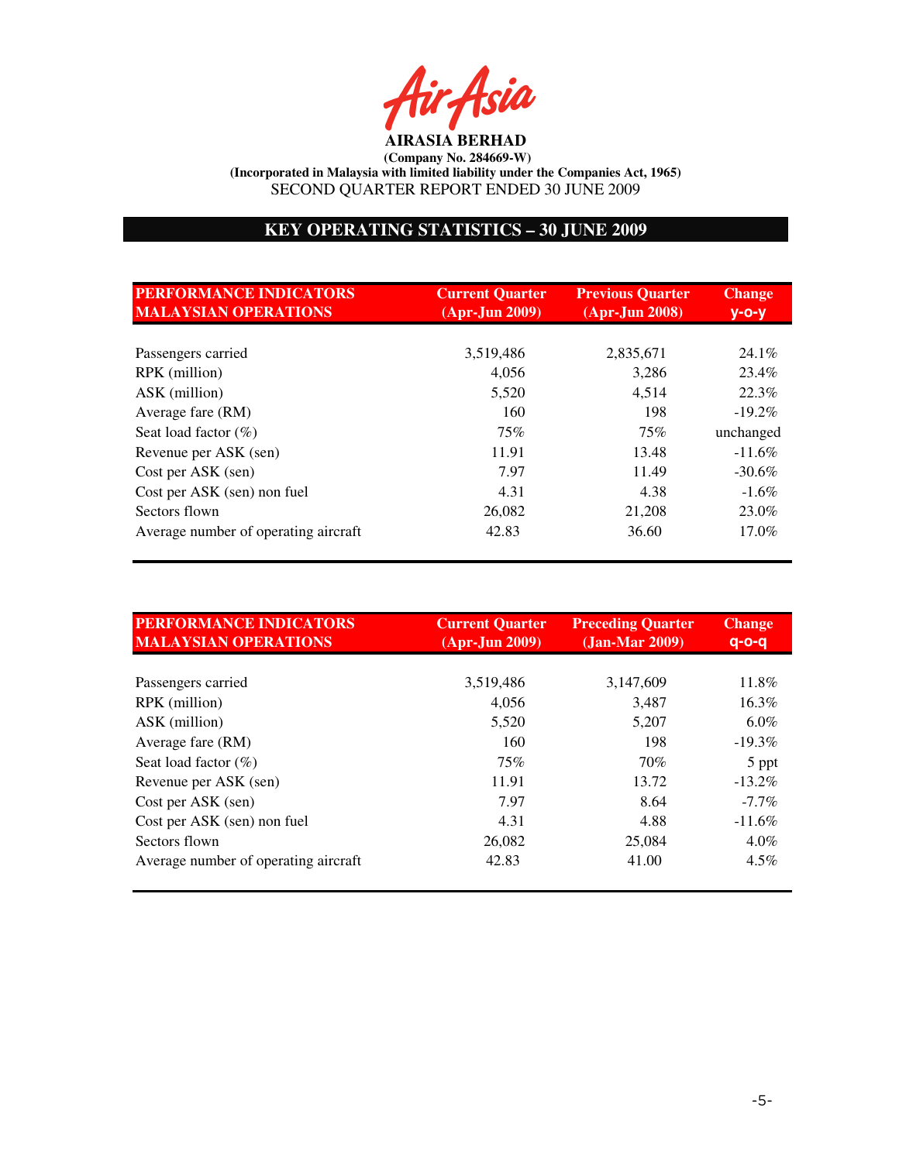ir Asia

# **KEY OPERATING STATISTICS – 30 JUNE 2009**

| <b>PERFORMANCE INDICATORS</b><br><b>MALAYSIAN OPERATIONS</b> | <b>Current Quarter</b><br>$(Apr-Jun 2009)$ | <b>Previous Quarter</b><br>$(Apr-Jun 2008)$ | <b>Change</b><br>$V$ -O- $V$ |
|--------------------------------------------------------------|--------------------------------------------|---------------------------------------------|------------------------------|
|                                                              |                                            |                                             |                              |
| Passengers carried                                           | 3,519,486                                  | 2,835,671                                   | 24.1%                        |
| RPK (million)                                                | 4,056                                      | 3,286                                       | 23.4%                        |
| ASK (million)                                                | 5,520                                      | 4,514                                       | 22.3%                        |
| Average fare (RM)                                            | 160                                        | 198                                         | $-19.2\%$                    |
| Seat load factor $(\%)$                                      | 75%                                        | 75%                                         | unchanged                    |
| Revenue per ASK (sen)                                        | 11.91                                      | 13.48                                       | $-11.6%$                     |
| Cost per ASK (sen)                                           | 7.97                                       | 11.49                                       | $-30.6\%$                    |
| Cost per ASK (sen) non fuel                                  | 4.31                                       | 4.38                                        | $-1.6\%$                     |
| Sectors flown                                                | 26,082                                     | 21,208                                      | 23.0%                        |
| Average number of operating aircraft                         | 42.83                                      | 36.60                                       | $17.0\%$                     |

| <b>PERFORMANCE INDICATORS</b><br><b>MALAYSIAN OPERATIONS</b> | <b>Current Quarter</b><br>$(Apr-Jun 2009)$ | <b>Preceding Quarter</b><br>$(Jan-Mar 2009)$ | <b>Change</b><br>$q$ -o-q |
|--------------------------------------------------------------|--------------------------------------------|----------------------------------------------|---------------------------|
|                                                              |                                            |                                              |                           |
| Passengers carried                                           | 3,519,486                                  | 3,147,609                                    | 11.8%                     |
| RPK (million)                                                | 4,056                                      | 3,487                                        | $16.3\%$                  |
| ASK (million)                                                | 5,520                                      | 5,207                                        | $6.0\%$                   |
| Average fare (RM)                                            | 160                                        | 198                                          | $-19.3%$                  |
| Seat load factor $(\%)$                                      | 75%                                        | 70%                                          | 5 ppt                     |
| Revenue per ASK (sen)                                        | 11.91                                      | 13.72                                        | $-13.2\%$                 |
| Cost per ASK (sen)                                           | 7.97                                       | 8.64                                         | $-7.7\%$                  |
| Cost per ASK (sen) non fuel                                  | 4.31                                       | 4.88                                         | $-11.6%$                  |
| Sectors flown                                                | 26,082                                     | 25,084                                       | $4.0\%$                   |
| Average number of operating aircraft                         | 42.83                                      | 41.00                                        | $4.5\%$                   |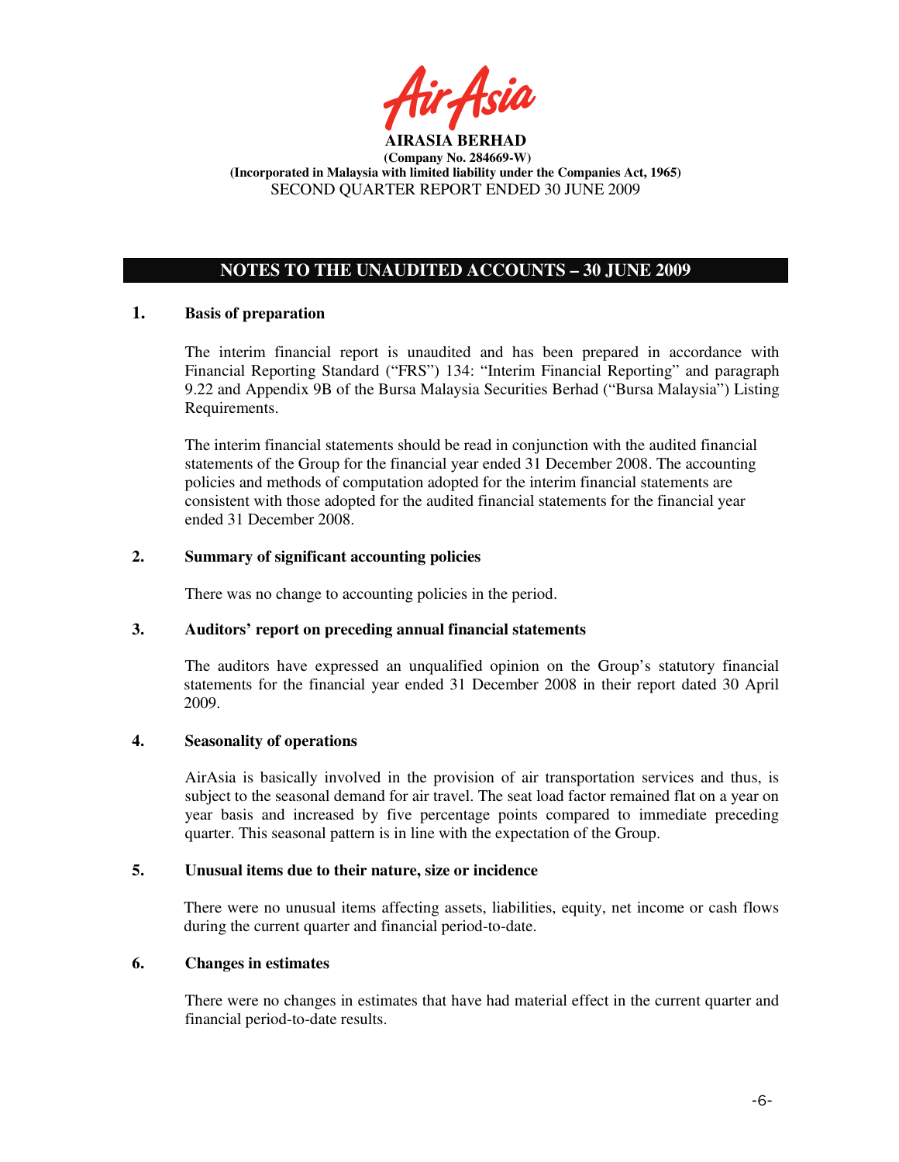

# **NOTES TO THE UNAUDITED ACCOUNTS – 30 JUNE 2009**

# **1. Basis of preparation**

The interim financial report is unaudited and has been prepared in accordance with Financial Reporting Standard ("FRS") 134: "Interim Financial Reporting" and paragraph 9.22 and Appendix 9B of the Bursa Malaysia Securities Berhad ("Bursa Malaysia") Listing Requirements.

The interim financial statements should be read in conjunction with the audited financial statements of the Group for the financial year ended 31 December 2008. The accounting policies and methods of computation adopted for the interim financial statements are consistent with those adopted for the audited financial statements for the financial year ended 31 December 2008.

# **2. Summary of significant accounting policies**

There was no change to accounting policies in the period.

### **3. Auditors' report on preceding annual financial statements**

The auditors have expressed an unqualified opinion on the Group's statutory financial statements for the financial year ended 31 December 2008 in their report dated 30 April 2009.

### **4. Seasonality of operations**

AirAsia is basically involved in the provision of air transportation services and thus, is subject to the seasonal demand for air travel. The seat load factor remained flat on a year on year basis and increased by five percentage points compared to immediate preceding quarter. This seasonal pattern is in line with the expectation of the Group.

### **5. Unusual items due to their nature, size or incidence**

There were no unusual items affecting assets, liabilities, equity, net income or cash flows during the current quarter and financial period-to-date.

### **6. Changes in estimates**

There were no changes in estimates that have had material effect in the current quarter and financial period-to-date results.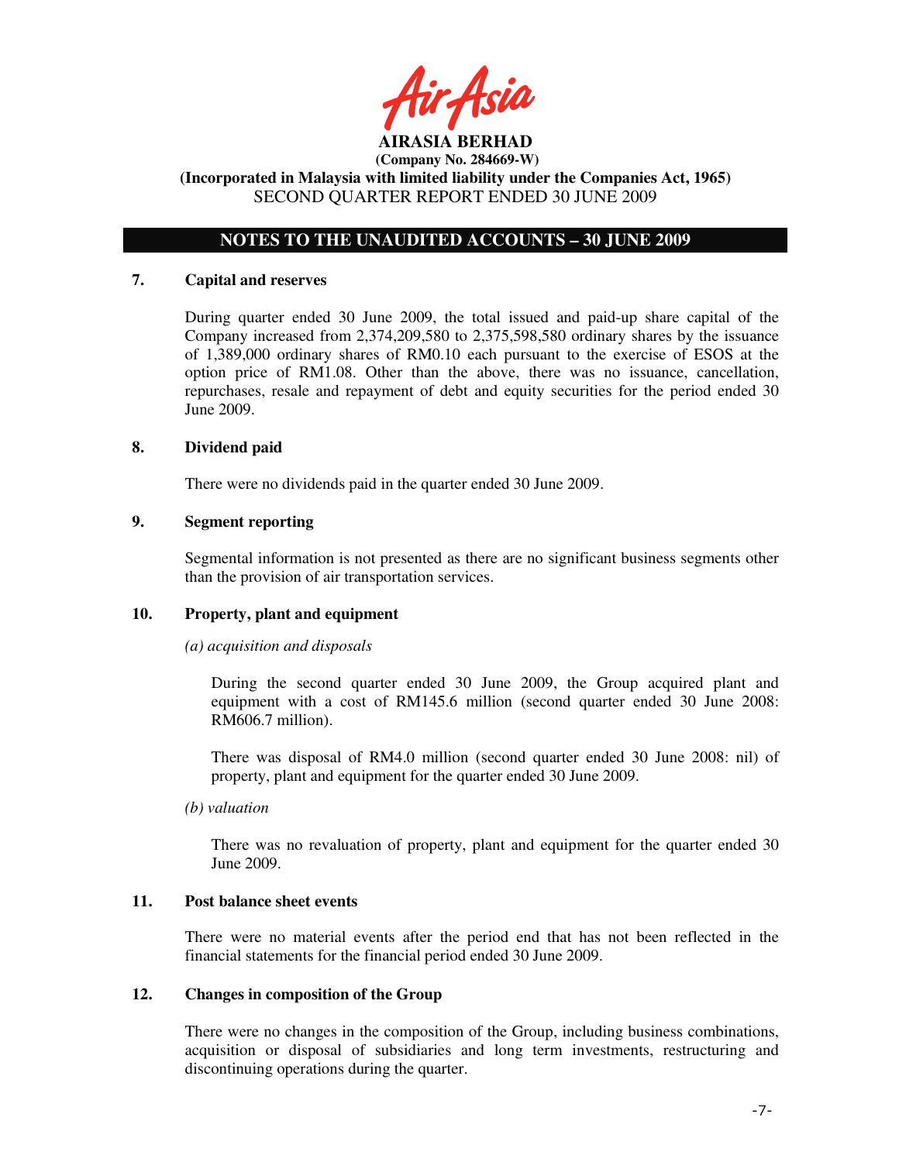ir Asia

# **NOTES TO THE UNAUDITED ACCOUNTS – 30 JUNE 2009**

### **7. Capital and reserves**

During quarter ended 30 June 2009, the total issued and paid-up share capital of the Company increased from 2,374,209,580 to 2,375,598,580 ordinary shares by the issuance of 1,389,000 ordinary shares of RM0.10 each pursuant to the exercise of ESOS at the option price of RM1.08. Other than the above, there was no issuance, cancellation, repurchases, resale and repayment of debt and equity securities for the period ended 30 June 2009.

### **8. Dividend paid**

There were no dividends paid in the quarter ended 30 June 2009.

### **9. Segment reporting**

Segmental information is not presented as there are no significant business segments other than the provision of air transportation services.

# **10. Property, plant and equipment**

### *(a) acquisition and disposals*

During the second quarter ended 30 June 2009, the Group acquired plant and equipment with a cost of RM145.6 million (second quarter ended 30 June 2008: RM606.7 million).

There was disposal of RM4.0 million (second quarter ended 30 June 2008: nil) of property, plant and equipment for the quarter ended 30 June 2009.

### *(b) valuation*

 There was no revaluation of property, plant and equipment for the quarter ended 30 June 2009.

### **11. Post balance sheet events**

There were no material events after the period end that has not been reflected in the financial statements for the financial period ended 30 June 2009.

### **12. Changes in composition of the Group**

There were no changes in the composition of the Group, including business combinations, acquisition or disposal of subsidiaries and long term investments, restructuring and discontinuing operations during the quarter.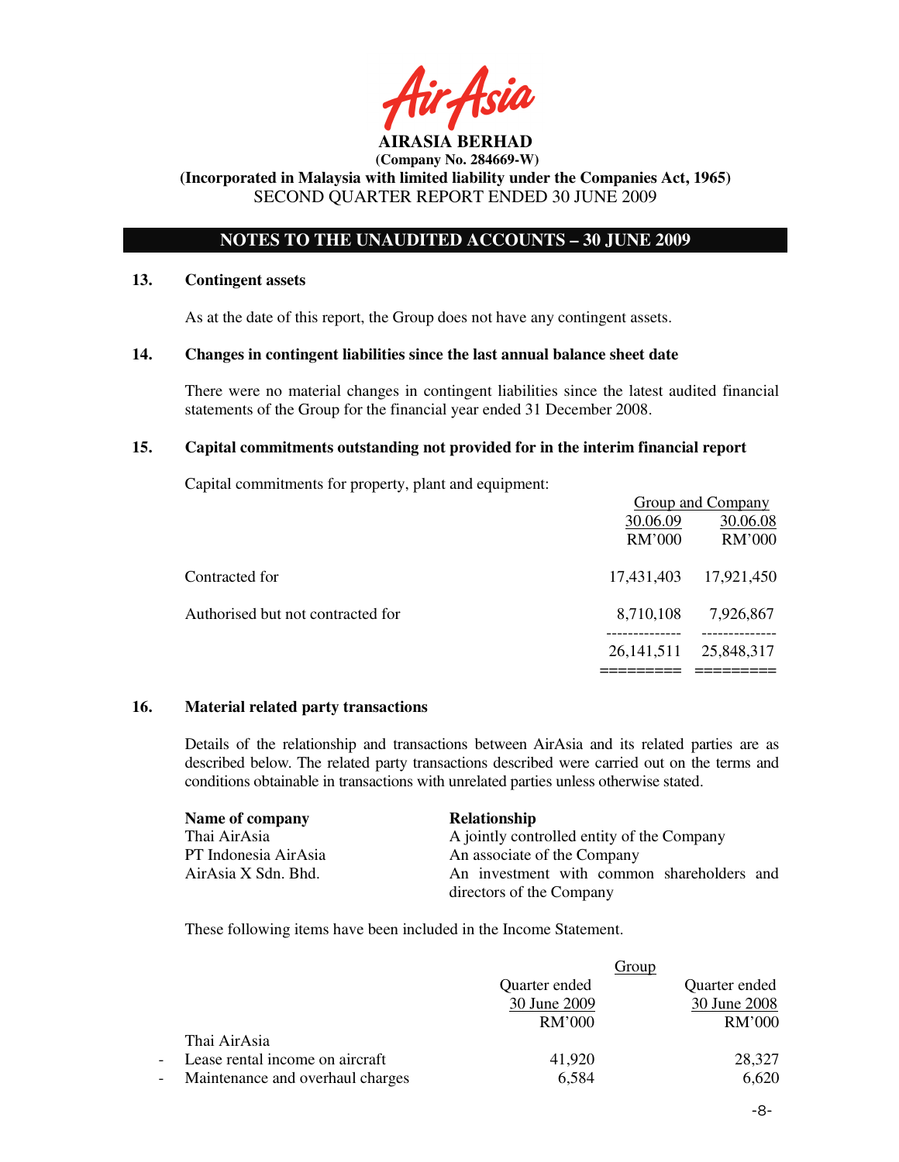# **NOTES TO THE UNAUDITED ACCOUNTS – 30 JUNE 2009**

### **13. Contingent assets**

As at the date of this report, the Group does not have any contingent assets.

### **14. Changes in contingent liabilities since the last annual balance sheet date**

There were no material changes in contingent liabilities since the latest audited financial statements of the Group for the financial year ended 31 December 2008.

### **15. Capital commitments outstanding not provided for in the interim financial report**

Capital commitments for property, plant and equipment:

|                                   | Group and Company |            |
|-----------------------------------|-------------------|------------|
|                                   | 30.06.09          | 30.06.08   |
|                                   | <b>RM'000</b>     | RM'000     |
| Contracted for                    | 17,431,403        | 17,921,450 |
| Authorised but not contracted for | 8,710,108         | 7,926,867  |
|                                   | 26, 141, 511      | 25,848,317 |
|                                   |                   |            |

### **16. Material related party transactions**

Details of the relationship and transactions between AirAsia and its related parties are as described below. The related party transactions described were carried out on the terms and conditions obtainable in transactions with unrelated parties unless otherwise stated.

| Name of company      | Relationship                               |
|----------------------|--------------------------------------------|
| Thai AirAsia         | A jointly controlled entity of the Company |
| PT Indonesia AirAsia | An associate of the Company                |
| AirAsia X Sdn. Bhd.  | An investment with common shareholders and |
|                      | directors of the Company                   |

These following items have been included in the Income Statement.

|                          |                                  |               | Group         |
|--------------------------|----------------------------------|---------------|---------------|
|                          |                                  | Quarter ended | Quarter ended |
|                          |                                  | 30 June 2009  | 30 June 2008  |
|                          |                                  | <b>RM'000</b> | RM'000        |
|                          | Thai AirAsia                     |               |               |
| $\overline{\phantom{0}}$ | Lease rental income on aircraft  | 41,920        | 28,327        |
| $\overline{\phantom{a}}$ | Maintenance and overhaul charges | 6,584         | 6,620         |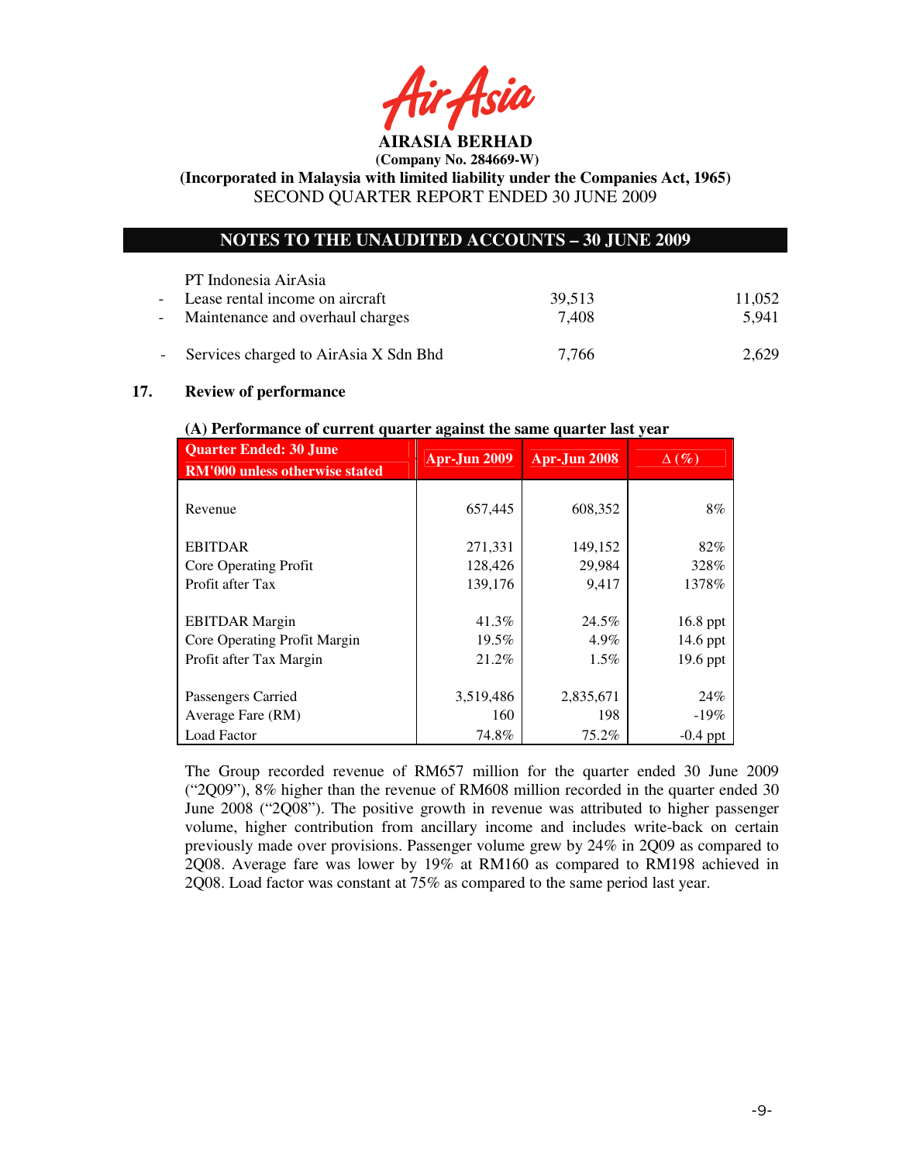ir Asid **AIRASIA BERHAD** 

 **(Company No. 284669-W)** 

**(Incorporated in Malaysia with limited liability under the Companies Act, 1965)**  SECOND QUARTER REPORT ENDED 30 JUNE 2009

# **NOTES TO THE UNAUDITED ACCOUNTS – 30 JUNE 2009**

| PT Indonesia AirAsia                    |        |        |
|-----------------------------------------|--------|--------|
| - Lease rental income on aircraft       | 39.513 | 11,052 |
| - Maintenance and overhaul charges      | 7.408  | 5.941  |
| - Services charged to AirAsia X Sdn Bhd | 7.766  | 2,629  |

# **17. Review of performance**

# **Quarter Ended: 30 June RM'000 unless otherwise stated Apr-Jun 2009 Apr-Jun 2008** ∆ **(%)**  Revenue  $657,445$  608,352 8% EBITDAR  $271,331$   $149,152$  82% Core Operating Profit 128,426 29,984 328% Profit after Tax 139,176 9,417 1378% EBITDAR Margin 16.8 ppt Core Operating Profit Margin 19.5% 14.9% 14.6 ppt Profit after Tax Margin 21.2% 1.5% 19.6 ppt Passengers Carried 2,835,671 24% Average Fare  $(RM)$  160 198 -19% Load Factor 19.8% 74.8% 75.2% -0.4 ppt

### **(A) Performance of current quarter against the same quarter last year**

The Group recorded revenue of RM657 million for the quarter ended 30 June 2009 ("2Q09"), 8% higher than the revenue of RM608 million recorded in the quarter ended 30 June 2008 ("2Q08"). The positive growth in revenue was attributed to higher passenger volume, higher contribution from ancillary income and includes write-back on certain previously made over provisions. Passenger volume grew by 24% in 2Q09 as compared to 2Q08. Average fare was lower by 19% at RM160 as compared to RM198 achieved in 2Q08. Load factor was constant at 75% as compared to the same period last year.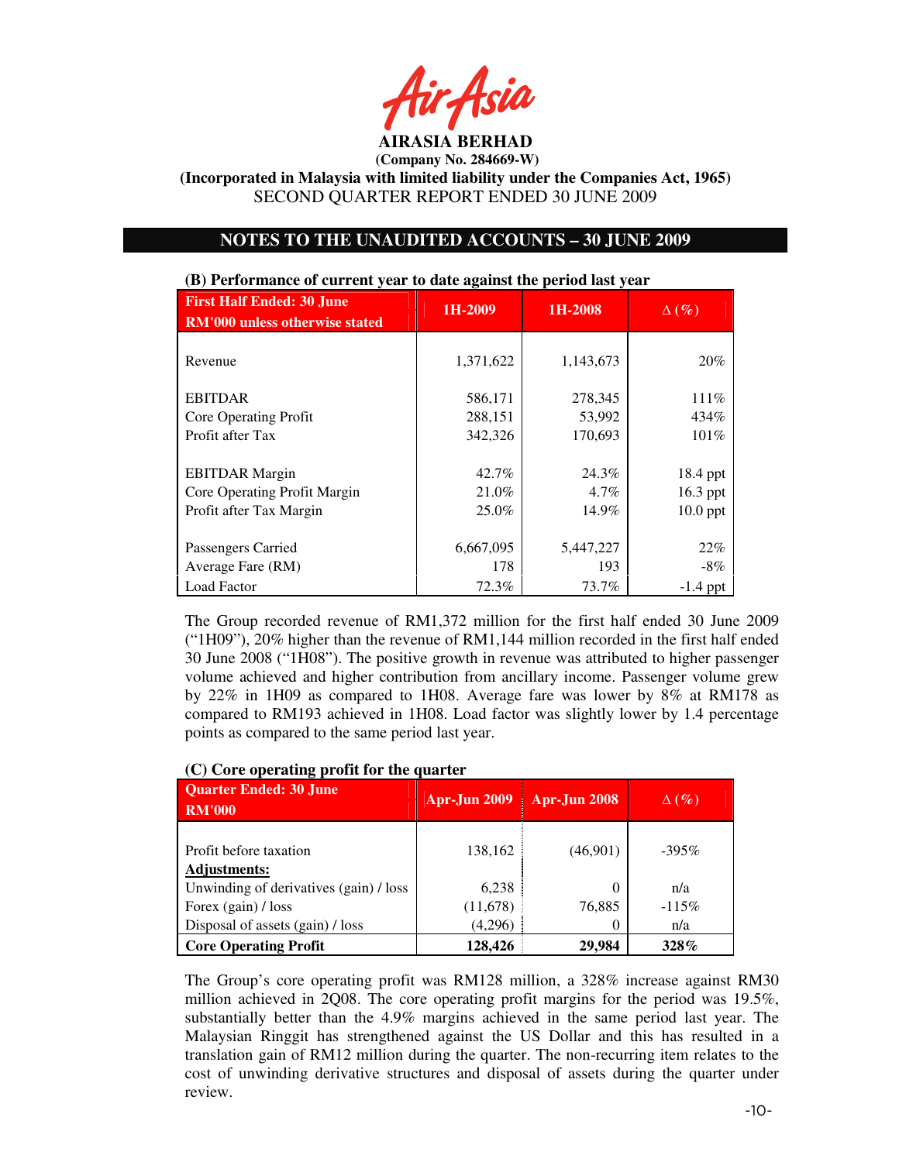**AIRASIA BERHAD** 

 **(Company No. 284669-W)** 

**(Incorporated in Malaysia with limited liability under the Companies Act, 1965)**  SECOND QUARTER REPORT ENDED 30 JUNE 2009

# **NOTES TO THE UNAUDITED ACCOUNTS – 30 JUNE 2009**

|                                                                                  | -                       |                           |                                    |
|----------------------------------------------------------------------------------|-------------------------|---------------------------|------------------------------------|
| <b>First Half Ended: 30 June</b><br>RM'000 unless otherwise stated               | 1H-2009                 | 1H-2008                   | $\Delta(\%)$                       |
| Revenue                                                                          | 1,371,622               | 1,143,673                 | 20%                                |
| <b>EBITDAR</b>                                                                   | 586,171                 | 278,345                   | 111%                               |
| Core Operating Profit                                                            | 288,151                 | 53,992                    | 434%                               |
| Profit after Tax                                                                 | 342,326                 | 170,693                   | 101%                               |
| <b>EBITDAR</b> Margin<br>Core Operating Profit Margin<br>Profit after Tax Margin | 42.7%<br>21.0%<br>25.0% | 24.3%<br>$4.7\%$<br>14.9% | 18.4 ppt<br>16.3 ppt<br>$10.0$ ppt |
| Passengers Carried                                                               | 6,667,095               | 5,447,227                 | 22%                                |
| Average Fare (RM)                                                                | 178                     | 193                       | $-8\%$                             |
| <b>Load Factor</b>                                                               | 72.3%                   | 73.7%                     | $-1.4$ ppt                         |

#### **(B) Performance of current year to date against the period last year**

The Group recorded revenue of RM1,372 million for the first half ended 30 June 2009 ("1H09"), 20% higher than the revenue of RM1,144 million recorded in the first half ended 30 June 2008 ("1H08"). The positive growth in revenue was attributed to higher passenger volume achieved and higher contribution from ancillary income. Passenger volume grew by 22% in 1H09 as compared to 1H08. Average fare was lower by 8% at RM178 as compared to RM193 achieved in 1H08. Load factor was slightly lower by 1.4 percentage points as compared to the same period last year.

# **Quarter Ended: 30 June RM'000 Apr-Jun 2009 Apr-Jun 2008** ∆ **(%)**  Profit before taxation  $138,162$  (46,901)  $-395\%$ **Adjustments:** Unwinding of derivatives (gain)  $\ell$  loss 6,238 0 n/a Forex (gain) / loss (11,678) 76,885 -115% Disposal of assets (gain) / loss  $(4,296)$  0 n/a **Core Operating Profit** 128,426 29,984 328%

### **(C) Core operating profit for the quarter**

The Group's core operating profit was RM128 million, a 328% increase against RM30 million achieved in 2Q08. The core operating profit margins for the period was 19.5%, substantially better than the 4.9% margins achieved in the same period last year. The Malaysian Ringgit has strengthened against the US Dollar and this has resulted in a translation gain of RM12 million during the quarter. The non-recurring item relates to the cost of unwinding derivative structures and disposal of assets during the quarter under review.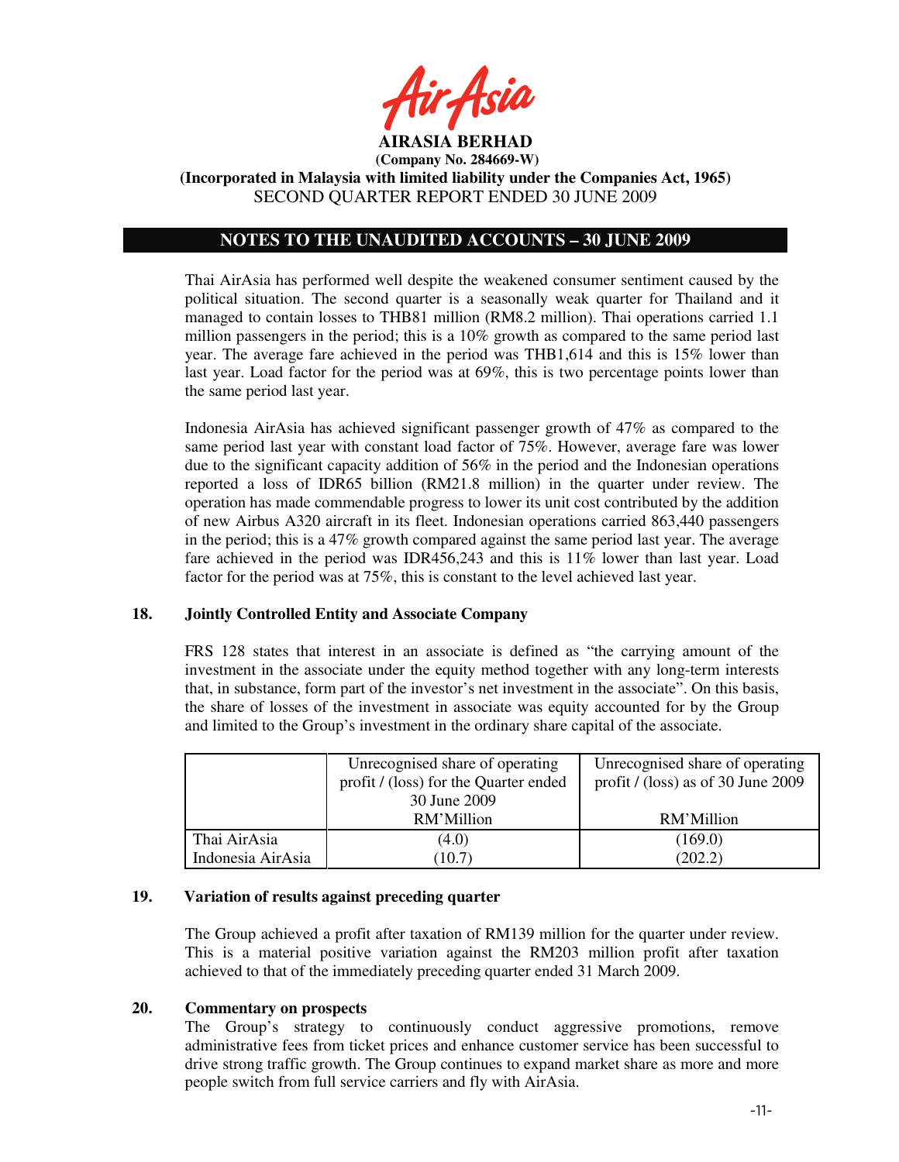

 **(Company No. 284669-W) (Incorporated in Malaysia with limited liability under the Companies Act, 1965)** 

SECOND QUARTER REPORT ENDED 30 JUNE 2009

# **NOTES TO THE UNAUDITED ACCOUNTS – 30 JUNE 2009**

Thai AirAsia has performed well despite the weakened consumer sentiment caused by the political situation. The second quarter is a seasonally weak quarter for Thailand and it managed to contain losses to THB81 million (RM8.2 million). Thai operations carried 1.1 million passengers in the period; this is a 10% growth as compared to the same period last year. The average fare achieved in the period was THB1,614 and this is 15% lower than last year. Load factor for the period was at 69%, this is two percentage points lower than the same period last year.

Indonesia AirAsia has achieved significant passenger growth of 47% as compared to the same period last year with constant load factor of 75%. However, average fare was lower due to the significant capacity addition of 56% in the period and the Indonesian operations reported a loss of IDR65 billion (RM21.8 million) in the quarter under review. The operation has made commendable progress to lower its unit cost contributed by the addition of new Airbus A320 aircraft in its fleet. Indonesian operations carried 863,440 passengers in the period; this is a 47% growth compared against the same period last year. The average fare achieved in the period was IDR456,243 and this is 11% lower than last year. Load factor for the period was at 75%, this is constant to the level achieved last year.

# **18. Jointly Controlled Entity and Associate Company**

FRS 128 states that interest in an associate is defined as "the carrying amount of the investment in the associate under the equity method together with any long-term interests that, in substance, form part of the investor's net investment in the associate". On this basis, the share of losses of the investment in associate was equity accounted for by the Group and limited to the Group's investment in the ordinary share capital of the associate.

|                   | Unrecognised share of operating<br>profit / (loss) for the Quarter ended | Unrecognised share of operating<br>profit / (loss) as of 30 June 2009 |
|-------------------|--------------------------------------------------------------------------|-----------------------------------------------------------------------|
|                   | 30 June 2009                                                             |                                                                       |
|                   | RM'Million                                                               | RM'Million                                                            |
| Thai AirAsia      | (4.0)                                                                    | (169.0)                                                               |
| Indonesia AirAsia | (10.7)                                                                   | (202.2)                                                               |

# **19. Variation of results against preceding quarter**

The Group achieved a profit after taxation of RM139 million for the quarter under review. This is a material positive variation against the RM203 million profit after taxation achieved to that of the immediately preceding quarter ended 31 March 2009.

# **20. Commentary on prospects**

The Group's strategy to continuously conduct aggressive promotions, remove administrative fees from ticket prices and enhance customer service has been successful to drive strong traffic growth. The Group continues to expand market share as more and more people switch from full service carriers and fly with AirAsia.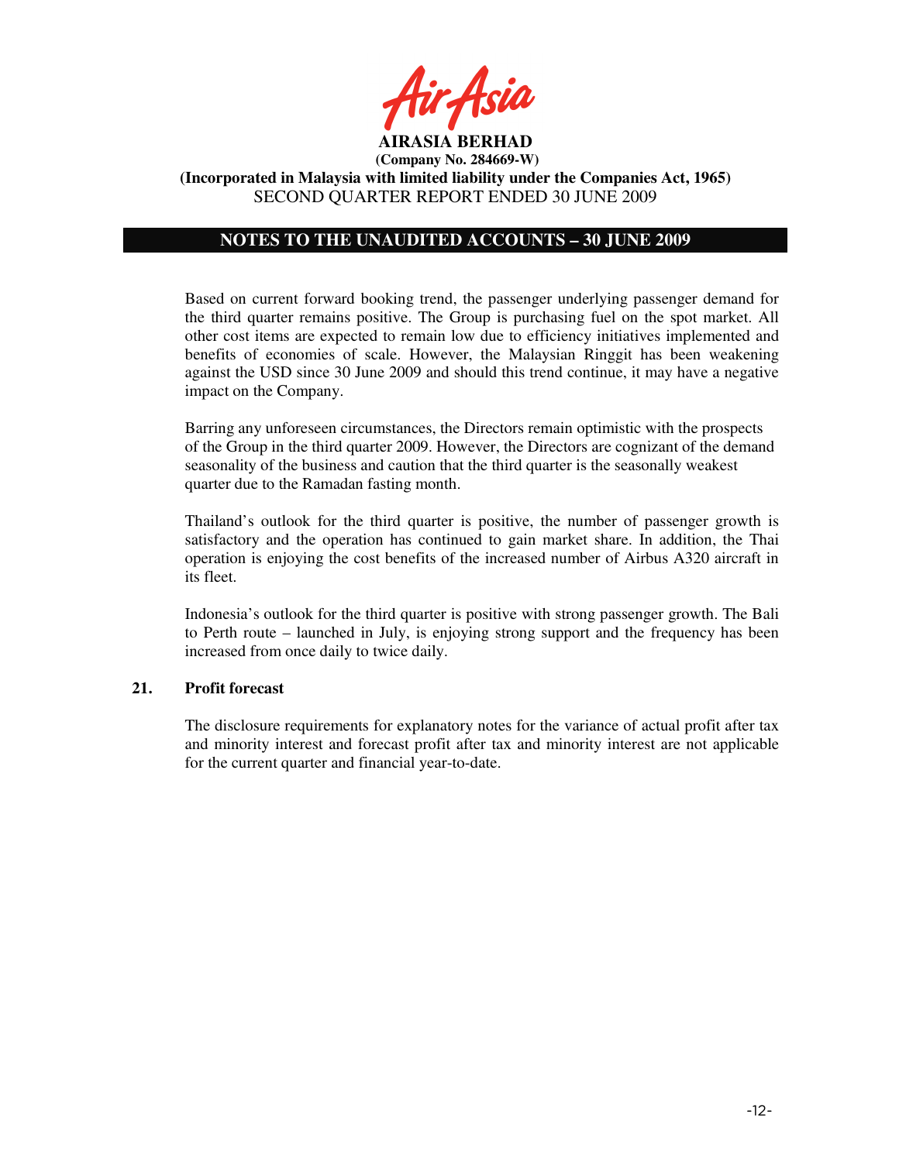

# **NOTES TO THE UNAUDITED ACCOUNTS – 30 JUNE 2009**

Based on current forward booking trend, the passenger underlying passenger demand for the third quarter remains positive. The Group is purchasing fuel on the spot market. All other cost items are expected to remain low due to efficiency initiatives implemented and benefits of economies of scale. However, the Malaysian Ringgit has been weakening against the USD since 30 June 2009 and should this trend continue, it may have a negative impact on the Company.

Barring any unforeseen circumstances, the Directors remain optimistic with the prospects of the Group in the third quarter 2009. However, the Directors are cognizant of the demand seasonality of the business and caution that the third quarter is the seasonally weakest quarter due to the Ramadan fasting month.

Thailand's outlook for the third quarter is positive, the number of passenger growth is satisfactory and the operation has continued to gain market share. In addition, the Thai operation is enjoying the cost benefits of the increased number of Airbus A320 aircraft in its fleet.

Indonesia's outlook for the third quarter is positive with strong passenger growth. The Bali to Perth route – launched in July, is enjoying strong support and the frequency has been increased from once daily to twice daily.

# **21. Profit forecast**

The disclosure requirements for explanatory notes for the variance of actual profit after tax and minority interest and forecast profit after tax and minority interest are not applicable for the current quarter and financial year-to-date.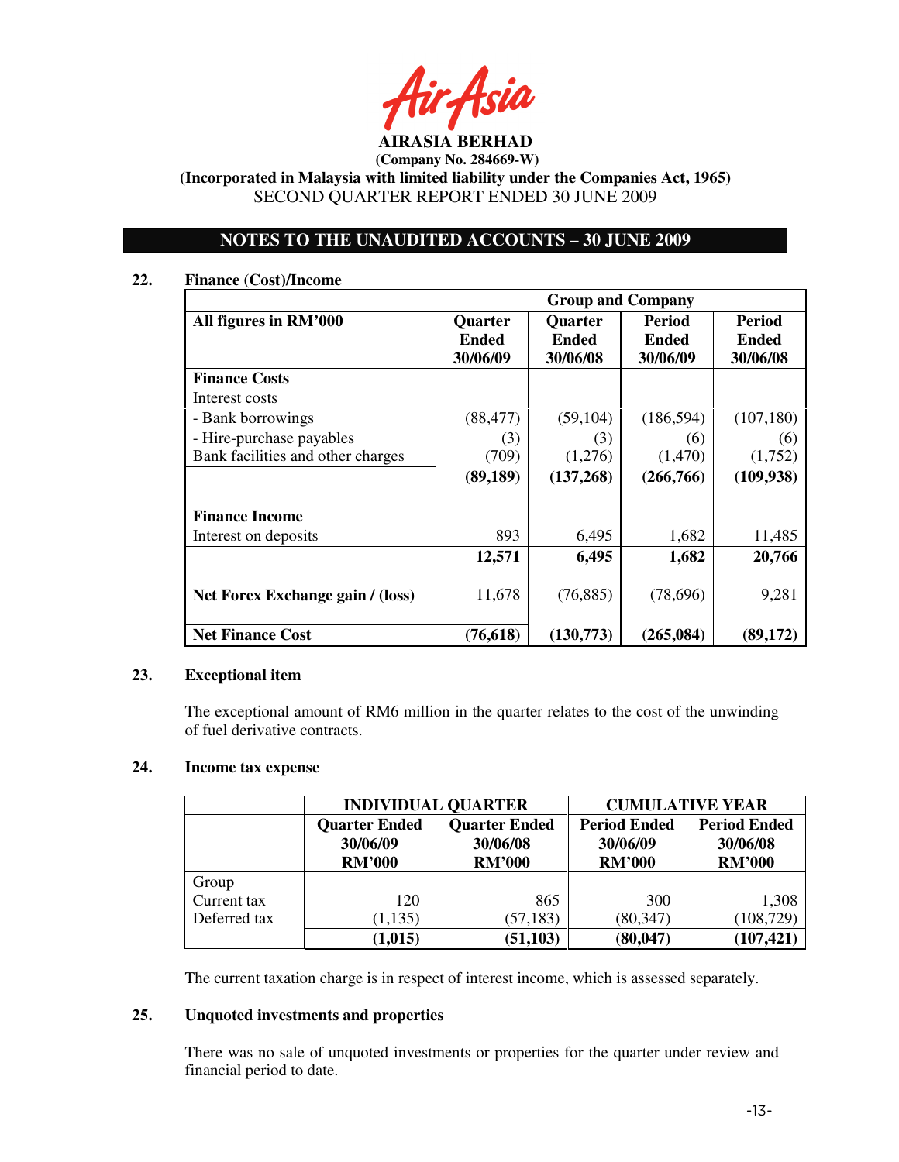**AIRASIA BERHAD** 

 **(Company No. 284669-W)** 

**(Incorporated in Malaysia with limited liability under the Companies Act, 1965)**  SECOND QUARTER REPORT ENDED 30 JUNE 2009

# **NOTES TO THE UNAUDITED ACCOUNTS – 30 JUNE 2009**

### **22. Finance (Cost)/Income**

|                                   | <b>Group and Company</b> |                |               |               |
|-----------------------------------|--------------------------|----------------|---------------|---------------|
| All figures in RM'000             | <b>Quarter</b>           | <b>Quarter</b> | <b>Period</b> | <b>Period</b> |
|                                   | <b>Ended</b>             | <b>Ended</b>   | <b>Ended</b>  | <b>Ended</b>  |
|                                   | 30/06/09                 | 30/06/08       | 30/06/09      | 30/06/08      |
| <b>Finance Costs</b>              |                          |                |               |               |
| Interest costs                    |                          |                |               |               |
| - Bank borrowings                 | (88, 477)                | (59, 104)      | (186, 594)    | (107, 180)    |
| - Hire-purchase payables          | (3)                      | (3)            | (6)           | (6)           |
| Bank facilities and other charges | (709)                    | (1,276)        | (1,470)       | (1,752)       |
|                                   | (89, 189)                | (137,268)      | (266,766)     | (109, 938)    |
|                                   |                          |                |               |               |
| <b>Finance Income</b>             |                          |                |               |               |
| Interest on deposits              | 893                      | 6,495          | 1,682         | 11,485        |
|                                   | 12,571                   | 6,495          | 1,682         | 20,766        |
| Net Forex Exchange gain / (loss)  | 11,678                   | (76, 885)      | (78,696)      | 9,281         |
| <b>Net Finance Cost</b>           | (76, 618)                | (130,773)      | (265, 084)    | (89, 172)     |

### **23. Exceptional item**

The exceptional amount of RM6 million in the quarter relates to the cost of the unwinding of fuel derivative contracts.

# **24. Income tax expense**

|              |                      | <b>INDIVIDUAL QUARTER</b> | <b>CUMULATIVE YEAR</b> |                     |  |
|--------------|----------------------|---------------------------|------------------------|---------------------|--|
|              | <b>Quarter Ended</b> | <b>Quarter Ended</b>      | <b>Period Ended</b>    | <b>Period Ended</b> |  |
|              | 30/06/09             | 30/06/08                  | 30/06/09               | 30/06/08            |  |
|              | <b>RM'000</b>        | <b>RM'000</b>             | <b>RM'000</b>          | <b>RM'000</b>       |  |
| Group        |                      |                           |                        |                     |  |
| Current tax  | 120                  | 865                       | 300                    | 1,308               |  |
| Deferred tax | (1, 135)             | (57, 183)                 | (80, 347)              | (108, 729)          |  |
|              | (1,015)              | (51, 103)                 | (80, 047)              | (107, 421)          |  |

The current taxation charge is in respect of interest income, which is assessed separately.

### **25. Unquoted investments and properties**

There was no sale of unquoted investments or properties for the quarter under review and financial period to date.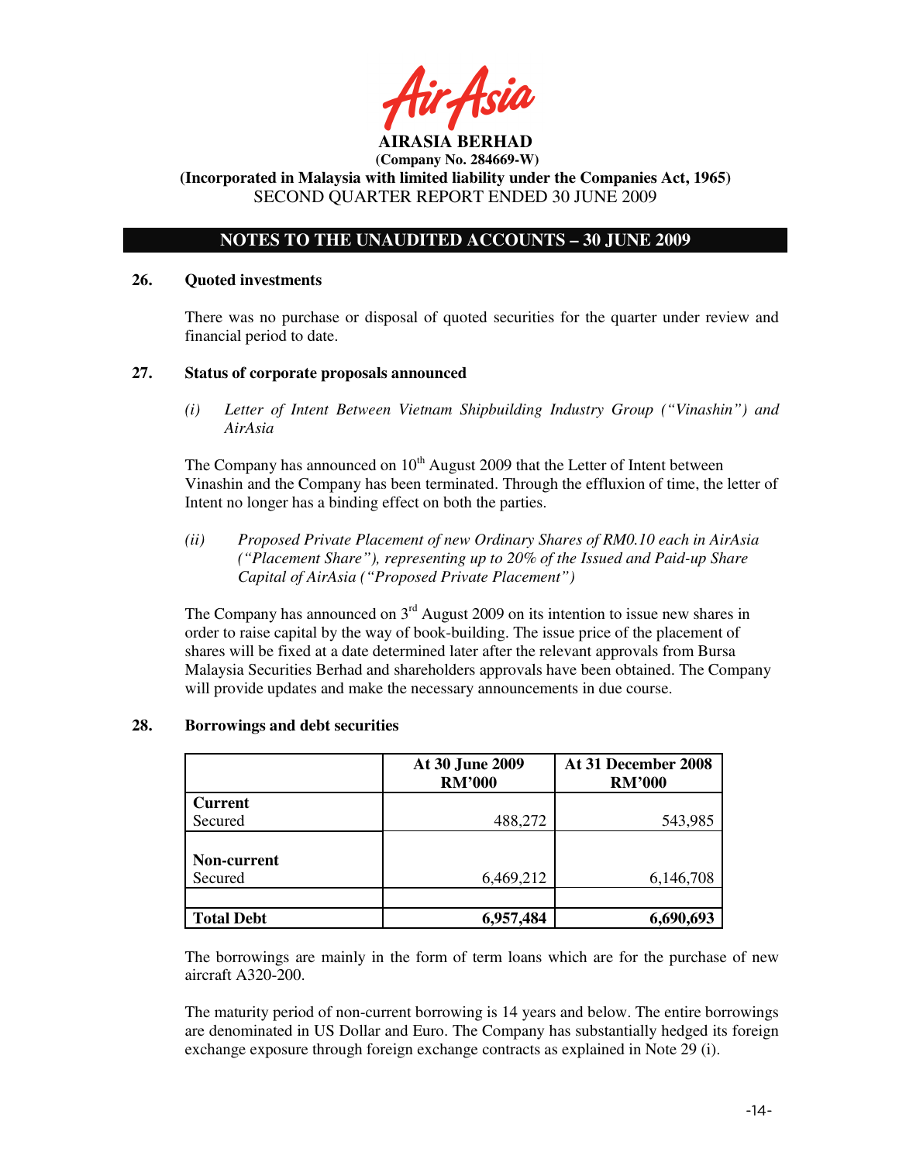# **NOTES TO THE UNAUDITED ACCOUNTS – 30 JUNE 2009**

### **26. Quoted investments**

There was no purchase or disposal of quoted securities for the quarter under review and financial period to date.

### **27. Status of corporate proposals announced**

*(i) Letter of Intent Between Vietnam Shipbuilding Industry Group ("Vinashin") and AirAsia* 

The Company has announced on  $10<sup>th</sup>$  August 2009 that the Letter of Intent between Vinashin and the Company has been terminated. Through the effluxion of time, the letter of Intent no longer has a binding effect on both the parties.

*(ii) Proposed Private Placement of new Ordinary Shares of RM0.10 each in AirAsia ("Placement Share"), representing up to 20% of the Issued and Paid-up Share Capital of AirAsia ("Proposed Private Placement")* 

The Company has announced on  $3<sup>rd</sup>$  August 2009 on its intention to issue new shares in order to raise capital by the way of book-building. The issue price of the placement of shares will be fixed at a date determined later after the relevant approvals from Bursa Malaysia Securities Berhad and shareholders approvals have been obtained. The Company will provide updates and make the necessary announcements in due course.

|                    | At 30 June 2009<br><b>RM'000</b> | At 31 December 2008<br><b>RM'000</b> |
|--------------------|----------------------------------|--------------------------------------|
| <b>Current</b>     |                                  |                                      |
| Secured            | 488,272                          | 543,985                              |
|                    |                                  |                                      |
| <b>Non-current</b> |                                  |                                      |
| Secured            | 6,469,212                        | 6,146,708                            |
|                    |                                  |                                      |
| <b>Total Debt</b>  | 6,957,484                        | 6,690,693                            |

# **28. Borrowings and debt securities**

The borrowings are mainly in the form of term loans which are for the purchase of new aircraft A320-200.

The maturity period of non-current borrowing is 14 years and below. The entire borrowings are denominated in US Dollar and Euro. The Company has substantially hedged its foreign exchange exposure through foreign exchange contracts as explained in Note 29 (i).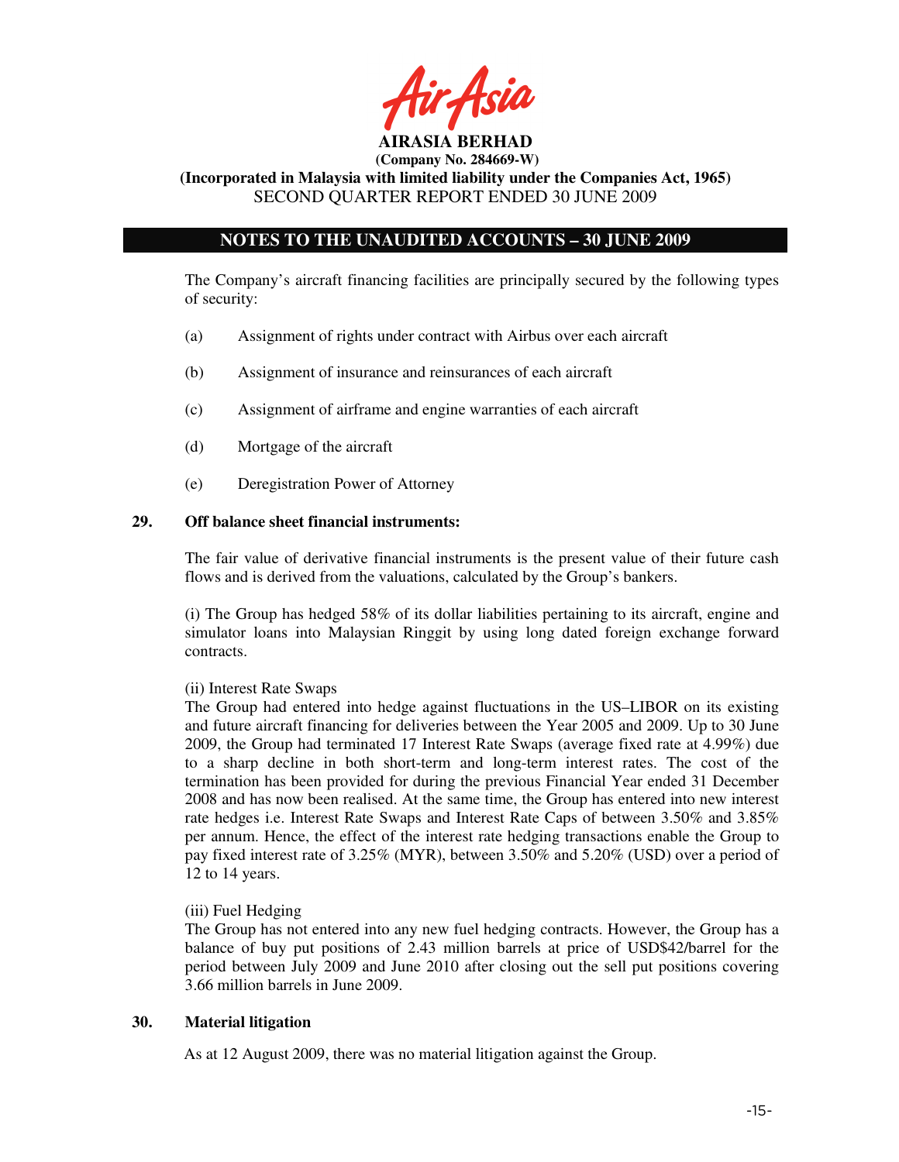

**AIRASIA BERHAD (Company No. 284669-W)** 

**(Incorporated in Malaysia with limited liability under the Companies Act, 1965)**  SECOND QUARTER REPORT ENDED 30 JUNE 2009

# **NOTES TO THE UNAUDITED ACCOUNTS – 30 JUNE 2009**

The Company's aircraft financing facilities are principally secured by the following types of security:

- (a) Assignment of rights under contract with Airbus over each aircraft
- (b) Assignment of insurance and reinsurances of each aircraft
- (c) Assignment of airframe and engine warranties of each aircraft
- (d) Mortgage of the aircraft
- (e) Deregistration Power of Attorney

### **29. Off balance sheet financial instruments:**

The fair value of derivative financial instruments is the present value of their future cash flows and is derived from the valuations, calculated by the Group's bankers.

(i) The Group has hedged 58% of its dollar liabilities pertaining to its aircraft, engine and simulator loans into Malaysian Ringgit by using long dated foreign exchange forward contracts.

### (ii) Interest Rate Swaps

The Group had entered into hedge against fluctuations in the US–LIBOR on its existing and future aircraft financing for deliveries between the Year 2005 and 2009. Up to 30 June 2009, the Group had terminated 17 Interest Rate Swaps (average fixed rate at 4.99%) due to a sharp decline in both short-term and long-term interest rates. The cost of the termination has been provided for during the previous Financial Year ended 31 December 2008 and has now been realised. At the same time, the Group has entered into new interest rate hedges i.e. Interest Rate Swaps and Interest Rate Caps of between 3.50% and 3.85% per annum. Hence, the effect of the interest rate hedging transactions enable the Group to pay fixed interest rate of 3.25% (MYR), between 3.50% and 5.20% (USD) over a period of 12 to 14 years.

### (iii) Fuel Hedging

The Group has not entered into any new fuel hedging contracts. However, the Group has a balance of buy put positions of 2.43 million barrels at price of USD\$42/barrel for the period between July 2009 and June 2010 after closing out the sell put positions covering 3.66 million barrels in June 2009.

### **30. Material litigation**

As at 12 August 2009, there was no material litigation against the Group.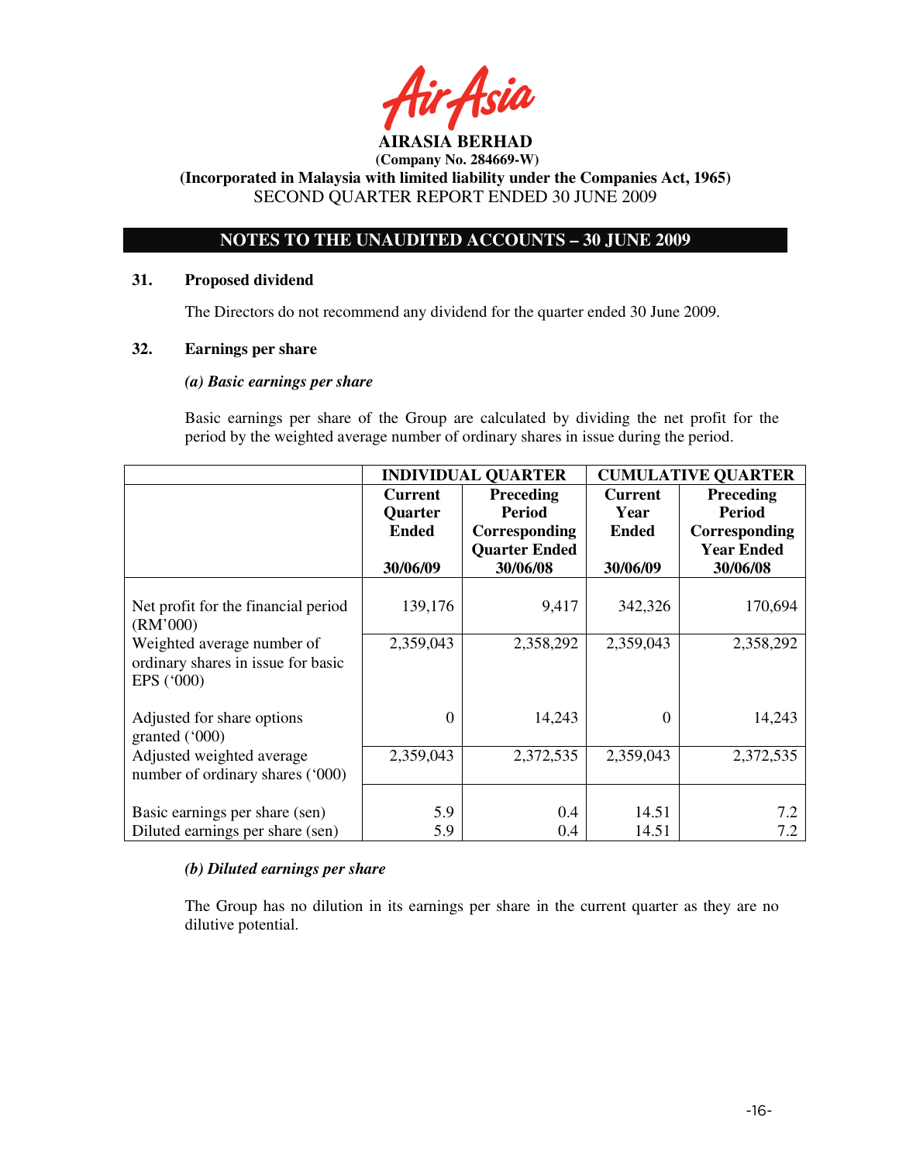# **NOTES TO THE UNAUDITED ACCOUNTS – 30 JUNE 2009**

### **31. Proposed dividend**

The Directors do not recommend any dividend for the quarter ended 30 June 2009.

### **32. Earnings per share**

### *(a) Basic earnings per share*

 Basic earnings per share of the Group are calculated by dividing the net profit for the period by the weighted average number of ordinary shares in issue during the period.

|                                     | <b>INDIVIDUAL QUARTER</b> |                      | <b>CUMULATIVE QUARTER</b> |                   |
|-------------------------------------|---------------------------|----------------------|---------------------------|-------------------|
|                                     | <b>Current</b>            | <b>Preceding</b>     | <b>Current</b>            | <b>Preceding</b>  |
|                                     | Quarter                   | <b>Period</b>        | Year                      | <b>Period</b>     |
|                                     | <b>Ended</b>              | Corresponding        | <b>Ended</b>              | Corresponding     |
|                                     |                           | <b>Quarter Ended</b> |                           | <b>Year Ended</b> |
|                                     | 30/06/09                  | 30/06/08             | 30/06/09                  | 30/06/08          |
|                                     |                           |                      |                           |                   |
| Net profit for the financial period | 139,176                   | 9,417                | 342,326                   | 170,694           |
| (RM'000)                            |                           |                      |                           |                   |
| Weighted average number of          | 2,359,043                 | 2,358,292            | 2,359,043                 | 2,358,292         |
| ordinary shares in issue for basic  |                           |                      |                           |                   |
| EPS ('000)                          |                           |                      |                           |                   |
|                                     |                           |                      |                           |                   |
| Adjusted for share options          | 0                         | 14,243               | $\Omega$                  | 14,243            |
| granted $(000)$                     |                           |                      |                           |                   |
| Adjusted weighted average           | 2,359,043                 | 2,372,535            | 2,359,043                 | 2,372,535         |
| number of ordinary shares ('000)    |                           |                      |                           |                   |
|                                     |                           |                      |                           |                   |
| Basic earnings per share (sen)      | 5.9                       | 0.4                  | 14.51                     | 7.2               |
| Diluted earnings per share (sen)    | 5.9                       | 0.4                  | 14.51                     | 7.2               |

# *(b) Diluted earnings per share*

 The Group has no dilution in its earnings per share in the current quarter as they are no dilutive potential.